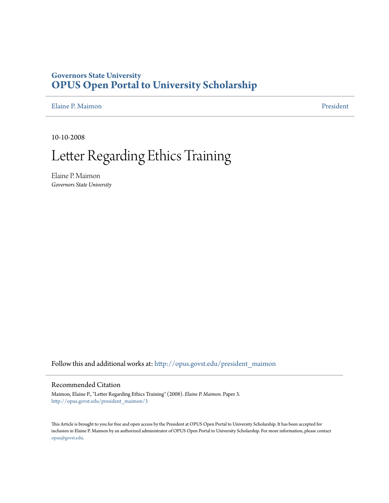## **Governors State University [OPUS Open Portal to University Scholarship](http://opus.govst.edu?utm_source=opus.govst.edu%2Fpresident_maimon%2F3&utm_medium=PDF&utm_campaign=PDFCoverPages)**

[Elaine P. Maimon](http://opus.govst.edu/president_maimon?utm_source=opus.govst.edu%2Fpresident_maimon%2F3&utm_medium=PDF&utm_campaign=PDFCoverPages) [President](http://opus.govst.edu/president?utm_source=opus.govst.edu%2Fpresident_maimon%2F3&utm_medium=PDF&utm_campaign=PDFCoverPages)

10-10-2008

## Letter Regarding Ethics Training

Elaine P. Maimon *Governors State University*

Follow this and additional works at: [http://opus.govst.edu/president\\_maimon](http://opus.govst.edu/president_maimon?utm_source=opus.govst.edu%2Fpresident_maimon%2F3&utm_medium=PDF&utm_campaign=PDFCoverPages)

## Recommended Citation

Maimon, Elaine P., "Letter Regarding Ethics Training" (2008). *Elaine P. Maimon.* Paper 3. [http://opus.govst.edu/president\\_maimon/3](http://opus.govst.edu/president_maimon/3?utm_source=opus.govst.edu%2Fpresident_maimon%2F3&utm_medium=PDF&utm_campaign=PDFCoverPages)

This Article is brought to you for free and open access by the President at OPUS Open Portal to University Scholarship. It has been accepted for inclusion in Elaine P. Maimon by an authorized administrator of OPUS Open Portal to University Scholarship. For more information, please contact [opus@govst.edu.](mailto:opus@govst.edu)